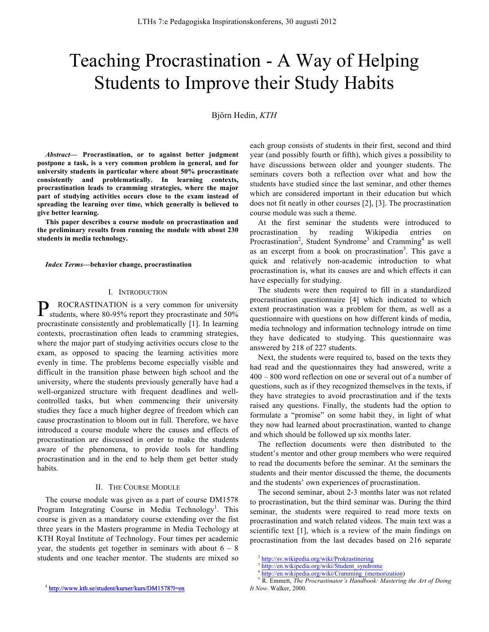# Teaching Procrastination - A Way of Helping Students to Improve their Study Habits

Björn Hedin, *KTH*

*Abstract***— Procrastination, or to against better judgment postpone a task, is a very common problem in general, and for university students in particular where about 50% procrastinate consistently and problematically. In learning contexts, procrastination leads to cramming strategies, where the major part of studying activities occurs close to the exam instead of spreading the learning over time, which generally is believed to give better learning.** 

**This paper describes a course module on procrastination and the preliminary results from running the module with about 230 students in media technology.**

*Index Terms***—behavior change, procrastination**

### I. INTRODUCTION

ROCRASTINATION is a very common for university P ROCRASTINATION is a very common for university students, where 80-95% report they procrastinate and 50% procrastinate consistently and problematically [1]. In learning contexts, procrastination often leads to cramming strategies, where the major part of studying activities occurs close to the exam, as opposed to spacing the learning activities more evenly in time. The problems become especially visible and difficult in the transition phase between high school and the university, where the students previously generally have had a well-organized structure with frequent deadlines and wellcontrolled tasks, but when commencing their university studies they face a much higher degree of freedom which can cause procrastination to bloom out in full. Therefore, we have introduced a course module where the causes and effects of procrastination are discussed in order to make the students aware of the phenomena, to provide tools for handling procrastination and in the end to help them get better study habits.

# II. THE COURSE MODULE

The course module was given as a part of course DM1578 Program Integrating Course in Media Technology<sup>1</sup>. This course is given as a mandatory course extending over the fist three years in the Masters programme in Media Techology at KTH Royal Institute of Technology. Four times per academic year, the students get together in seminars with about  $6 - 8$ students and one teacher mentor. The students are mixed so

each group consists of students in their first, second and third year (and possibly fourth or fifth), which gives a possibility to have discussions between older and younger students. The seminars covers both a reflection over what and how the students have studied since the last seminar, and other themes which are considered important in their education but which does not fit neatly in other courses [2], [3]. The procrastination course module was such a theme.

At the first seminar the students were introduced to procrastination by reading Wikipedia entries on Procrastination<sup>2</sup>, Student Syndrome<sup>3</sup> and Cramming<sup>4</sup> as well as an excerpt from a book on procrastination<sup>5</sup>. This gave a quick and relatively non-academic introduction to what procrastination is, what its causes are and which effects it can have especially for studying.

The students were then required to fill in a standardized procrastination questionnaire [4] which indicated to which extent procrastination was a problem for them, as well as a questionnaire with questions on how different kinds of media, media technology and information technology intrude on time they have dedicated to studying. This questionnaire was answered by 218 of 227 students.

Next, the students were required to, based on the texts they had read and the questionnaires they had answered, write a 400 – 800 word reflection on one or several out of a number of questions, such as if they recognized themselves in the texts, if they have strategies to avoid procrastination and if the texts raised any questions. Finally, the students had the option to formulate a "promise" on some habit they, in light of what they now had learned about procrastination, wanted to change and which should be followed up six months later.

The reflection documents were then distributed to the student's mentor and other group members who were required to read the documents before the seminar. At the seminars the students and their mentor discussed the theme, the documents and the students' own experiences of procrastination.

The second seminar, about 2-3 months later was not related to procrastination, but the third seminar was. During the third seminar, the students were required to read more texts on procrastination and watch related videos. The main text was a scientific text [1], which is a review of the main findings on procrastination from the last decades based on 216 separate

<sup>2</sup> http://sv.wikipedia.org/wiki/Prokrastinering

<sup>3</sup> http://en.wikipedia.org/wiki/Student\_syndrome

http://en.wikipedia.org/wiki/Cramming (memorization)

<sup>5</sup> R. Emmett, *The Procrastinator's Handbook: Mastering the Art of Doing It Now*. Walker, 2000.

<sup>1</sup> http://www.kth.se/student/kurser/kurs/DM1578?l=en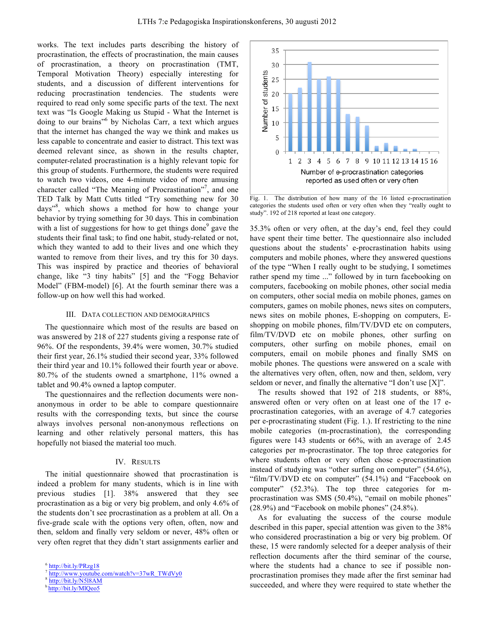works. The text includes parts describing the history of procrastination, the effects of procrastination, the main causes of procrastination, a theory on procrastination (TMT, Temporal Motivation Theory) especially interesting for students, and a discussion of different interventions for reducing procrastination tendencies. The students were required to read only some specific parts of the text. The next text was "Is Google Making us Stupid - What the Internet is doing to our brains" <sup>6</sup> by Nicholas Carr, a text which argues that the internet has changed the way we think and makes us less capable to concentrate and easier to distract. This text was deemed relevant since, as shown in the results chapter, computer-related procrastination is a highly relevant topic for this group of students. Furthermore, the students were required to watch two videos, one 4-minute video of more amusing character called "The Meaning of Procrastination"<sup>7</sup>, and one TED Talk by Matt Cutts titled "Try something new for 30 days"<sup>8</sup> , which shows a method for how to change your behavior by trying something for 30 days. This in combination with a list of suggestions for how to get things done<sup>9</sup> gave the students their final task; to find one habit, study-related or not, which they wanted to add to their lives and one which they wanted to remove from their lives, and try this for 30 days. This was inspired by practice and theories of behavioral change, like "3 tiny habits" [5] and the "Fogg Behavior Model" (FBM-model) [6]. At the fourth seminar there was a follow-up on how well this had worked.

## III. DATA COLLECTION AND DEMOGRAPHICS

The questionnaire which most of the results are based on was answered by 218 of 227 students giving a response rate of 96%. Of the respondents, 39.4% were women, 30.7% studied their first year, 26.1% studied their second year, 33% followed their third year and 10.1% followed their fourth year or above. 80.7% of the students owned a smartphone, 11% owned a tablet and 90.4% owned a laptop computer.

The questionnaires and the reflection documents were nonanonymous in order to be able to compare questionnaire results with the corresponding texts, but since the course always involves personal non-anonymous reflections on learning and other relatively personal matters, this has hopefully not biased the material too much.

## IV. RESULTS

The initial questionnaire showed that procrastination is indeed a problem for many students, which is in line with previous studies [1]. 38% answered that they see procrastination as a big or very big problem, and only 4.6% of the students don't see procrastination as a problem at all. On a five-grade scale with the options very often, often, now and then, seldom and finally very seldom or never, 48% often or very often regret that they didn't start assignments earlier and



Fig. 1. The distribution of how many of the 16 listed e-procrastination categories the students used often or very often when they "really ought to study". 192 of 218 reported at least one category.

35.3% often or very often, at the day's end, feel they could have spent their time better. The questionnaire also included questions about the students' e-procrastination habits using computers and mobile phones, where they answered questions of the type "When I really ought to be studying, I sometimes rather spend my time ..." followed by in turn facebooking on computers, facebooking on mobile phones, other social media on computers, other social media on mobile phones, games on computers, games on mobile phones, news sites on computers, news sites on mobile phones, E-shopping on computers, Eshopping on mobile phones, film/TV/DVD etc on computers, film/TV/DVD etc on mobile phones, other surfing on computers, other surfing on mobile phones, email on computers, email on mobile phones and finally SMS on mobile phones. The questions were answered on a scale with the alternatives very often, often, now and then, seldom, very seldom or never, and finally the alternative "I don't use [X]".

The results showed that 192 of 218 students, or 88%, answered often or very often on at least one of the 17 eprocrastination categories, with an average of 4.7 categories per e-procrastinating student (Fig. 1.). If restricting to the nine mobile categories (m-procrastination), the corresponding figures were 143 students or 66%, with an average of 2.45 categories per m-procrastinator. The top three categories for where students often or very often chose e-procrastination instead of studying was "other surfing on computer" (54.6%), "film/TV/DVD etc on computer" (54.1%) and "Facebook on computer" (52.3%). The top three categories for mprocrastination was SMS (50.4%), "email on mobile phones" (28.9%) and "Facebook on mobile phones" (24.8%).

As for evaluating the success of the course module described in this paper, special attention was given to the 38% who considered procrastination a big or very big problem. Of these, 15 were randomly selected for a deeper analysis of their reflection documents after the third seminar of the course, where the students had a chance to see if possible nonprocrastination promises they made after the first seminar had succeeded, and where they were required to state whether the

<sup>6</sup> http://bit.ly/PRzg18

http://www.youtube.com/watch?v=37wR\_TWdVy0

<sup>8</sup> http://bit.ly/N5l8AM

h http://bit.ly/MlQeo5